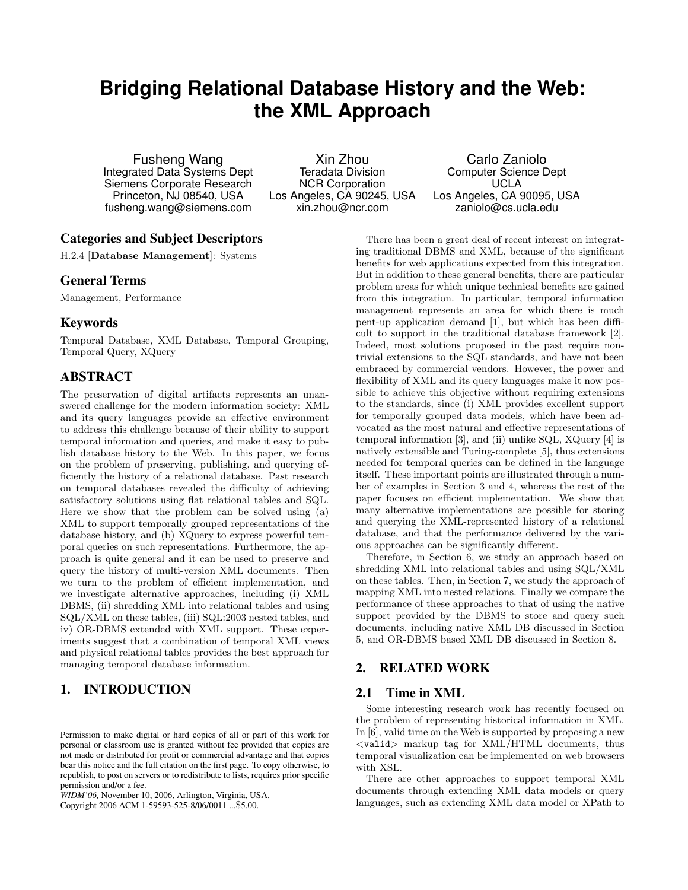# **Bridging Relational Database History and the Web: the XML Approach**

Fusheng Wang Integrated Data Systems Dept Siemens Corporate Research Princeton, NJ 08540, USA fusheng.wang@siemens.com

Xin Zhou Teradata Division NCR Corporation Los Angeles, CA 90245, USA xin.zhou@ncr.com

Carlo Zaniolo Computer Science Dept UCLA Los Angeles, CA 90095, USA zaniolo@cs.ucla.edu

There has been a great deal of recent interest on integrat-

# Categories and Subject Descriptors

H.2.4 [Database Management]: Systems

#### General Terms

Management, Performance

#### Keywords

Temporal Database, XML Database, Temporal Grouping, Temporal Query, XQuery

# ABSTRACT

The preservation of digital artifacts represents an unanswered challenge for the modern information society: XML and its query languages provide an effective environment to address this challenge because of their ability to support temporal information and queries, and make it easy to publish database history to the Web. In this paper, we focus on the problem of preserving, publishing, and querying efficiently the history of a relational database. Past research on temporal databases revealed the difficulty of achieving satisfactory solutions using flat relational tables and SQL. Here we show that the problem can be solved using (a) XML to support temporally grouped representations of the database history, and (b) XQuery to express powerful temporal queries on such representations. Furthermore, the approach is quite general and it can be used to preserve and query the history of multi-version XML documents. Then we turn to the problem of efficient implementation, and we investigate alternative approaches, including (i) XML DBMS, (ii) shredding XML into relational tables and using SQL/XML on these tables, (iii) SQL:2003 nested tables, and iv) OR-DBMS extended with XML support. These experiments suggest that a combination of temporal XML views and physical relational tables provides the best approach for managing temporal database information.

# 1. INTRODUCTION

Permission to make digital or hard copies of all or part of this work for personal or classroom use is granted without fee provided that copies are not made or distributed for profit or commercial advantage and that copies bear this notice and the full citation on the first page. To copy otherwise, to republish, to post on servers or to redistribute to lists, requires prior specific permission and/or a fee.

*WIDM'06,* November 10, 2006, Arlington, Virginia, USA.

Copyright 2006 ACM 1-59593-525-8/06/0011 ...\$5.00.

ing traditional DBMS and XML, because of the significant benefits for web applications expected from this integration. But in addition to these general benefits, there are particular problem areas for which unique technical benefits are gained from this integration. In particular, temporal information management represents an area for which there is much pent-up application demand [1], but which has been difficult to support in the traditional database framework [2]. Indeed, most solutions proposed in the past require nontrivial extensions to the SQL standards, and have not been embraced by commercial vendors. However, the power and flexibility of XML and its query languages make it now possible to achieve this objective without requiring extensions to the standards, since (i) XML provides excellent support for temporally grouped data models, which have been advocated as the most natural and effective representations of temporal information [3], and (ii) unlike SQL, XQuery [4] is natively extensible and Turing-complete [5], thus extensions needed for temporal queries can be defined in the language itself. These important points are illustrated through a number of examples in Section 3 and 4, whereas the rest of the paper focuses on efficient implementation. We show that many alternative implementations are possible for storing and querying the XML-represented history of a relational database, and that the performance delivered by the various approaches can be significantly different.

Therefore, in Section 6, we study an approach based on shredding XML into relational tables and using SQL/XML on these tables. Then, in Section 7, we study the approach of mapping XML into nested relations. Finally we compare the performance of these approaches to that of using the native support provided by the DBMS to store and query such documents, including native XML DB discussed in Section 5, and OR-DBMS based XML DB discussed in Section 8.

# 2. RELATED WORK

## 2.1 Time in XML

Some interesting research work has recently focused on the problem of representing historical information in XML. In [6], valid time on the Web is supported by proposing a new <valid> markup tag for XML/HTML documents, thus temporal visualization can be implemented on web browsers with XSL.

There are other approaches to support temporal XML documents through extending XML data models or query languages, such as extending XML data model or XPath to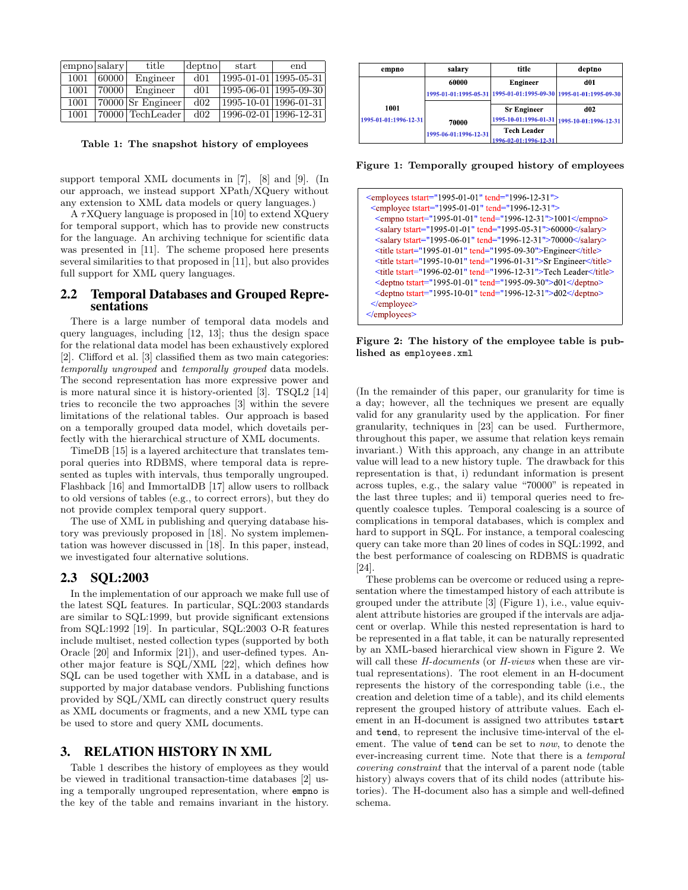| empno salary |       | title               | deptho | start                    | end |
|--------------|-------|---------------------|--------|--------------------------|-----|
| 1001         | 60000 | Engineer            | d01    | 1995-01-01   1995-05-31  |     |
| 1001         | 70000 | Engineer            | d01    | 1995-06-01   1995-09-30  |     |
| 1001         |       | $70000$ Sr Engineer | d02    | 1995-10-01   1996-01-31  |     |
| 1001         |       | 70000 TechLeader    | d02    | $ 1996-02-01 1996-12-31$ |     |

Table 1: The snapshot history of employees

support temporal XML documents in [7], [8] and [9]. (In our approach, we instead support XPath/XQuery without any extension to XML data models or query languages.)

A  $\tau$ XQuery language is proposed in [10] to extend XQuery for temporal support, which has to provide new constructs for the language. An archiving technique for scientific data was presented in [11]. The scheme proposed here presents several similarities to that proposed in [11], but also provides full support for XML query languages.

#### 2.2 Temporal Databases and Grouped Representations

There is a large number of temporal data models and query languages, including [12, 13]; thus the design space for the relational data model has been exhaustively explored [2]. Clifford et al. [3] classified them as two main categories: temporally ungrouped and temporally grouped data models. The second representation has more expressive power and is more natural since it is history-oriented [3]. TSQL2 [14] tries to reconcile the two approaches [3] within the severe limitations of the relational tables. Our approach is based on a temporally grouped data model, which dovetails perfectly with the hierarchical structure of XML documents.

TimeDB [15] is a layered architecture that translates temporal queries into RDBMS, where temporal data is represented as tuples with intervals, thus temporally ungrouped. Flashback [16] and ImmortalDB [17] allow users to rollback to old versions of tables (e.g., to correct errors), but they do not provide complex temporal query support.

The use of XML in publishing and querying database history was previously proposed in [18]. No system implementation was however discussed in [18]. In this paper, instead, we investigated four alternative solutions.

#### 2.3 SQL:2003

In the implementation of our approach we make full use of the latest SQL features. In particular, SQL:2003 standards are similar to SQL:1999, but provide significant extensions from SQL:1992 [19]. In particular, SQL:2003 O-R features include multiset, nested collection types (supported by both Oracle [20] and Informix [21]), and user-defined types. Another major feature is SQL/XML [22], which defines how SQL can be used together with XML in a database, and is supported by major database vendors. Publishing functions provided by SQL/XML can directly construct query results as XML documents or fragments, and a new XML type can be used to store and query XML documents.

# 3. RELATION HISTORY IN XML

Table 1 describes the history of employees as they would be viewed in traditional transaction-time databases [2] using a temporally ungrouped representation, where empno is the key of the table and remains invariant in the history.

| empno                 | salary                | title                                                             | deptno                                      |
|-----------------------|-----------------------|-------------------------------------------------------------------|---------------------------------------------|
|                       | 60000                 | Engineer                                                          | d01                                         |
|                       |                       | 1995-01-01:1995-05-31 1995-01-01:1995-09-30 1995-01-01:1995-09-30 |                                             |
| 1001                  |                       | <b>Sr Engineer</b>                                                | d02                                         |
| 1995-01-01:1996-12-31 | 70000                 |                                                                   | 1995-10-01:1996-01-31 1995-10-01:1996-12-31 |
|                       | 1995-06-01:1996-12-31 | <b>Tech Leader</b>                                                |                                             |
|                       |                       | 1996-02-01:1996-12-31                                             |                                             |

Figure 1: Temporally grouped history of employees

| <employees tend="1996-12-31" tstart="1995-01-01"><br/><employee tend="1996-12-31" tstart="1995-01-01"></employee></employees> |
|-------------------------------------------------------------------------------------------------------------------------------|
| <empno tend="1996-12-31" tstart="1995-01-01">1001</empno>                                                                     |
| <salary tend="1995-05-31" tstart="1995-01-01">60000</salary>                                                                  |
| <salary tend="1996-12-31" tstart="1995-06-01">70000</salary>                                                                  |
| <title tend="1995-09-30" tstart="1995-01-01">Engineer</title>                                                                 |
| $\le$ title tstart="1995-10-01" tend="1996-01-31">Sr Engineer $\le$ /title>                                                   |
| <title tend="1996-12-31" tstart="1996-02-01">Tech Leader</title>                                                              |
| $\le$ deptno tstart="1995-01-01" tend="1995-09-30">d01                                                                        |
| <deptno tend="1996-12-31" tstart="1995-10-01">d02</deptno>                                                                    |
| $<$ /employee $>$                                                                                                             |
|                                                                                                                               |

Figure 2: The history of the employee table is published as employees.xml

(In the remainder of this paper, our granularity for time is a day; however, all the techniques we present are equally valid for any granularity used by the application. For finer granularity, techniques in [23] can be used. Furthermore, throughout this paper, we assume that relation keys remain invariant.) With this approach, any change in an attribute value will lead to a new history tuple. The drawback for this representation is that, i) redundant information is present across tuples, e.g., the salary value "70000" is repeated in the last three tuples; and ii) temporal queries need to frequently coalesce tuples. Temporal coalescing is a source of complications in temporal databases, which is complex and hard to support in SQL. For instance, a temporal coalescing query can take more than 20 lines of codes in SQL:1992, and the best performance of coalescing on RDBMS is quadratic [24].

These problems can be overcome or reduced using a representation where the timestamped history of each attribute is grouped under the attribute [3] (Figure 1), i.e., value equivalent attribute histories are grouped if the intervals are adjacent or overlap. While this nested representation is hard to be represented in a flat table, it can be naturally represented by an XML-based hierarchical view shown in Figure 2. We will call these *H*-documents (or *H*-views when these are virtual representations). The root element in an H-document represents the history of the corresponding table (i.e., the creation and deletion time of a table), and its child elements represent the grouped history of attribute values. Each element in an H-document is assigned two attributes tstart and tend, to represent the inclusive time-interval of the element. The value of tend can be set to now, to denote the ever-increasing current time. Note that there is a temporal covering constraint that the interval of a parent node (table history) always covers that of its child nodes (attribute histories). The H-document also has a simple and well-defined schema.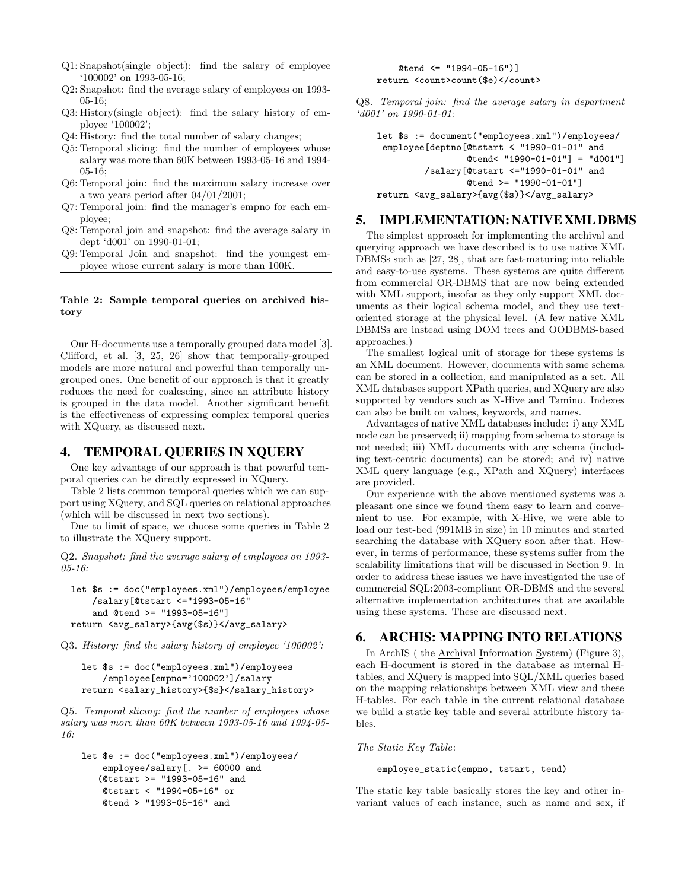- Q1: Snapshot(single object): find the salary of employee '100002' on 1993-05-16;
- Q2: Snapshot: find the average salary of employees on 1993- 05-16;
- Q3: History(single object): find the salary history of employee '100002';
- Q4: History: find the total number of salary changes;
- Q5: Temporal slicing: find the number of employees whose salary was more than 60K between 1993-05-16 and 1994- 05-16;
- Q6: Temporal join: find the maximum salary increase over a two years period after 04/01/2001;
- Q7: Temporal join: find the manager's empno for each employee;
- Q8: Temporal join and snapshot: find the average salary in dept 'd001' on 1990-01-01;
- Q9: Temporal Join and snapshot: find the youngest employee whose current salary is more than 100K.

#### Table 2: Sample temporal queries on archived history

Our H-documents use a temporally grouped data model [3]. Clifford, et al. [3, 25, 26] show that temporally-grouped models are more natural and powerful than temporally ungrouped ones. One benefit of our approach is that it greatly reduces the need for coalescing, since an attribute history is grouped in the data model. Another significant benefit is the effectiveness of expressing complex temporal queries with XQuery, as discussed next.

### 4. TEMPORAL QUERIES IN XQUERY

One key advantage of our approach is that powerful temporal queries can be directly expressed in XQuery.

Table 2 lists common temporal queries which we can support using XQuery, and SQL queries on relational approaches (which will be discussed in next two sections).

Due to limit of space, we choose some queries in Table 2 to illustrate the XQuery support.

Q2. Snapshot: find the average salary of employees on 1993- 05-16:

```
let $s := doc("employees.xml")/employees/employee
    /salary[@tstart <="1993-05-16"
    and @tend >= "1993-05-16"]
return <avg_salary>{avg($s)}</avg_salary>
```
Q3. History: find the salary history of employee '100002':

```
let $s := doc("employees.xml")/employees
    /employee[empno='100002']/salary
return <salary_history>{$s}</salary_history>
```
Q5. Temporal slicing: find the number of employees whose salary was more than 60K between 1993-05-16 and 1994-05- 16:

```
let $e := doc("employees.xml")/employees/
    employee/salary[. >= 60000 and
   (@tstart >= "1993-05-16" and
    @tstart < "1994-05-16" or
    @tend > "1993-05-16" and
```
@tend <= "1994-05-16")] return <count>count(\$e)</count>

Q8. Temporal join: find the average salary in department 'd001' on 1990-01-01:

```
let $s := document("employees.xml")/employees/
 employee[deptno[@tstart < "1990-01-01" and
                 @tend< "1990-01-01"] = "d001"]
         /salary[@tstart <="1990-01-01" and
                 @tend >= "1990-01-01"]
return <avg_salary>{avg($s)}</avg_salary>
```
## 5. IMPLEMENTATION: NATIVE XML DBMS

The simplest approach for implementing the archival and querying approach we have described is to use native XML DBMSs such as [27, 28], that are fast-maturing into reliable and easy-to-use systems. These systems are quite different from commercial OR-DBMS that are now being extended with XML support, insofar as they only support XML documents as their logical schema model, and they use textoriented storage at the physical level. (A few native XML DBMSs are instead using DOM trees and OODBMS-based approaches.)

The smallest logical unit of storage for these systems is an XML document. However, documents with same schema can be stored in a collection, and manipulated as a set. All XML databases support XPath queries, and XQuery are also supported by vendors such as X-Hive and Tamino. Indexes can also be built on values, keywords, and names.

Advantages of native XML databases include: i) any XML node can be preserved; ii) mapping from schema to storage is not needed; iii) XML documents with any schema (including text-centric documents) can be stored; and iv) native XML query language (e.g., XPath and XQuery) interfaces are provided.

Our experience with the above mentioned systems was a pleasant one since we found them easy to learn and convenient to use. For example, with X-Hive, we were able to load our test-bed (991MB in size) in 10 minutes and started searching the database with XQuery soon after that. However, in terms of performance, these systems suffer from the scalability limitations that will be discussed in Section 9. In order to address these issues we have investigated the use of commercial SQL:2003-compliant OR-DBMS and the several alternative implementation architectures that are available using these systems. These are discussed next.

# 6. ARCHIS: MAPPING INTO RELATIONS

In ArchIS ( the Archival Information System) (Figure 3), each H-document is stored in the database as internal Htables, and XQuery is mapped into SQL/XML queries based on the mapping relationships between XML view and these H-tables. For each table in the current relational database we build a static key table and several attribute history tables.

The Static Key Table:

#### employee\_static(empno, tstart, tend)

The static key table basically stores the key and other invariant values of each instance, such as name and sex, if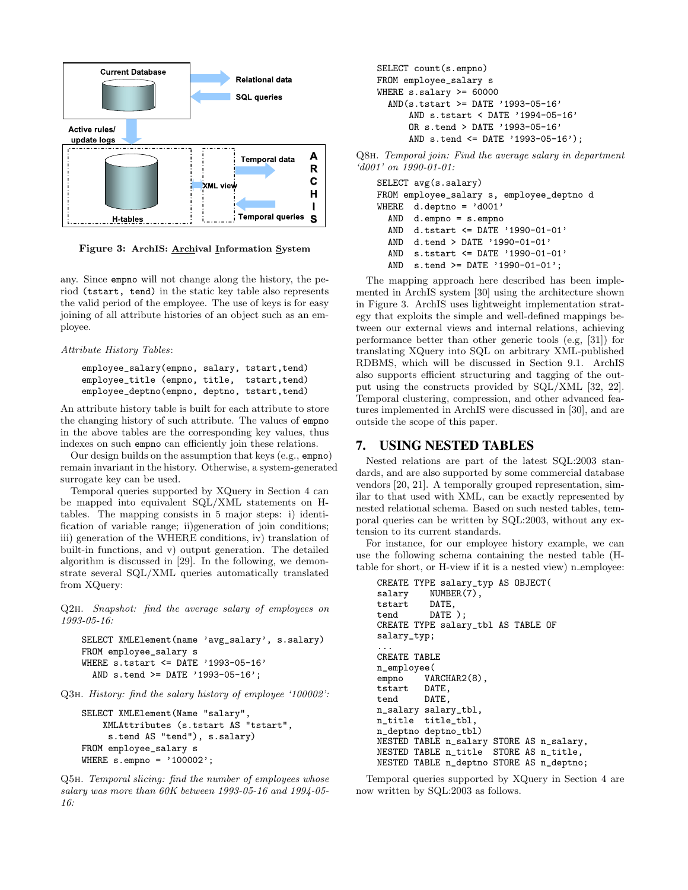

Figure 3: ArchIS: Archival Information System

any. Since empno will not change along the history, the period (tstart, tend) in the static key table also represents the valid period of the employee. The use of keys is for easy joining of all attribute histories of an object such as an employee.

#### Attribute History Tables:

| employee_salary(empno, salary, tstart,tend) |  |
|---------------------------------------------|--|
| employee_title (empno, title, tstart, tend) |  |
| employee_deptno(empno, deptno, tstart,tend) |  |

An attribute history table is built for each attribute to store the changing history of such attribute. The values of empno in the above tables are the corresponding key values, thus indexes on such empno can efficiently join these relations.

Our design builds on the assumption that keys (e.g., empno) remain invariant in the history. Otherwise, a system-generated surrogate key can be used.

Temporal queries supported by XQuery in Section 4 can be mapped into equivalent SQL/XML statements on Htables. The mapping consists in 5 major steps: i) identification of variable range; ii)generation of join conditions; iii) generation of the WHERE conditions, iv) translation of built-in functions, and v) output generation. The detailed algorithm is discussed in [29]. In the following, we demonstrate several SQL/XML queries automatically translated from XQuery:

Q2h. Snapshot: find the average salary of employees on 1993-05-16:

```
SELECT XMLElement(name 'avg_salary', s.salary)
FROM employee_salary s
WHERE s.tstart <= DATE '1993-05-16'
  AND s.tend >= DATE '1993-05-16';
```
Q3h. History: find the salary history of employee '100002':

```
SELECT XMLElement(Name "salary",
    XMLAttributes (s.tstart AS "tstart",
     s.tend AS "tend"), s.salary)
FROM employee_salary s
WHERE s.empno = '100002';
```
Q5h. Temporal slicing: find the number of employees whose salary was more than 60K between 1993-05-16 and 1994-05- 16:

```
SELECT count(s.empno)
FROM employee_salary s
WHERE s.salary \geq 60000AND(s.tstart >= DATE '1993-05-16'
      AND s.tstart < DATE '1994-05-16'
      OR s.tend > DATE '1993-05-16'
      AND s.tend <= DATE '1993-05-16');
```
Q8h. Temporal join: Find the average salary in department 'd001' on 1990-01-01:

```
SELECT avg(s.salary)
FROM employee_salary s, employee_deptno d
WHERE d.deptno = 'd001'AND d.empno = s.empno
  AND d.tstart <= DATE '1990-01-01'
  AND d.tend > DATE '1990-01-01'
  AND s.tstart <= DATE '1990-01-01'
  AND s.tend >= DATE '1990-01-01';
```
The mapping approach here described has been implemented in ArchIS system [30] using the architecture shown in Figure 3. ArchIS uses lightweight implementation strategy that exploits the simple and well-defined mappings between our external views and internal relations, achieving performance better than other generic tools (e.g, [31]) for translating XQuery into SQL on arbitrary XML-published RDBMS, which will be discussed in Section 9.1. ArchIS also supports efficient structuring and tagging of the output using the constructs provided by SQL/XML [32, 22]. Temporal clustering, compression, and other advanced features implemented in ArchIS were discussed in [30], and are outside the scope of this paper.

#### 7. USING NESTED TABLES

Nested relations are part of the latest SQL:2003 standards, and are also supported by some commercial database vendors [20, 21]. A temporally grouped representation, similar to that used with XML, can be exactly represented by nested relational schema. Based on such nested tables, temporal queries can be written by SQL:2003, without any extension to its current standards.

For instance, for our employee history example, we can use the following schema containing the nested table (Htable for short, or H-view if it is a nested view) n\_employee:

```
CREATE TYPE salary_typ AS OBJECT(<br>salary MUMBER(7),
          NUMBER(7),
tstart DATE,
tend DATE );
CREATE TYPE salary_tbl AS TABLE OF
salary_typ;
...
CREATE TABLE
n_employee(
empno VARCHAR2(8),
tstart DATE,
tend DATE,
n_salary salary_tbl,
n_title title_tbl,
n_deptno deptno_tbl)
NESTED TABLE n_salary STORE AS n_salary,
NESTED TABLE n_title STORE AS n_title,
NESTED TABLE n_deptno STORE AS n_deptno;
```
Temporal queries supported by XQuery in Section 4 are now written by SQL:2003 as follows.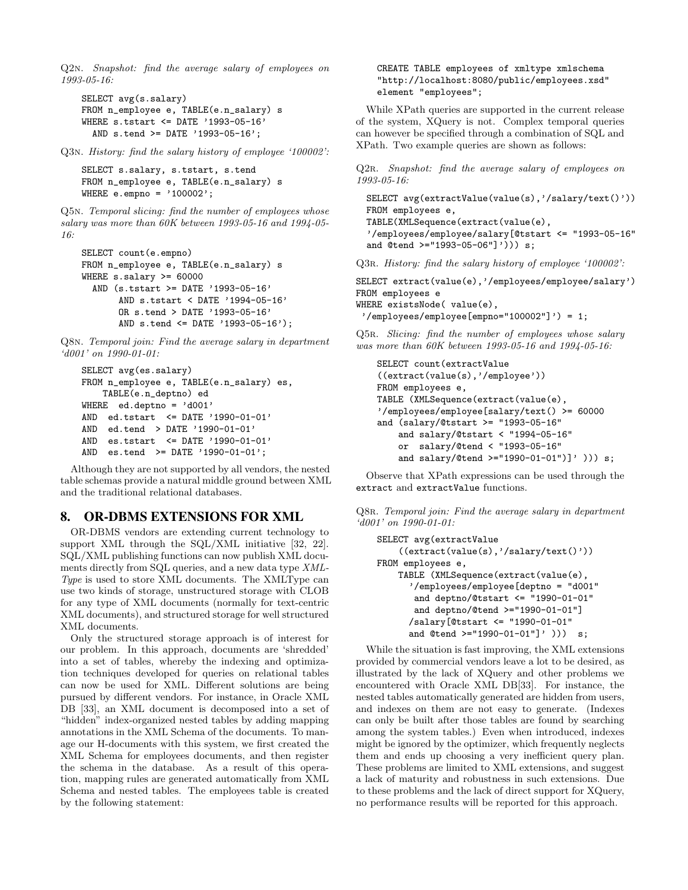Q2n. Snapshot: find the average salary of employees on 1993-05-16:

```
SELECT avg(s.salary)
FROM n_employee e, TABLE(e.n_salary) s
WHERE s.tstart <= DATE '1993-05-16'
  AND s.tend >= DATE '1993-05-16';
```
Q3n. History: find the salary history of employee '100002':

```
SELECT s.salary, s.tstart, s.tend
FROM n_employee e, TABLE(e.n_salary) s
WHERE e. empno = '100002';
```
Q5n. Temporal slicing: find the number of employees whose salary was more than 60K between 1993-05-16 and 1994-05- 16:

```
SELECT count(e.empno)
FROM n_employee e, TABLE(e.n_salary) s
WHERE s.salary \geq 60000AND (s.tstart >= DATE '1993-05-16'
       AND s.tstart < DATE '1994-05-16'
       OR s.tend > DATE '1993-05-16'
       AND s.tend <= DATE '1993-05-16');
```
Q8n. Temporal join: Find the average salary in department 'd001' on 1990-01-01:

```
SELECT avg(es.salary)
FROM n_employee e, TABLE(e.n_salary) es,
   TABLE(e.n_deptno) ed
WHERE ed.deptno = 'd001'
AND ed.tstart <= DATE '1990-01-01'
AND ed.tend > DATE '1990-01-01'
AND es.tstart <= DATE '1990-01-01'
AND es.tend >= DATE '1990-01-01';
```
Although they are not supported by all vendors, the nested table schemas provide a natural middle ground between XML and the traditional relational databases.

# 8. OR-DBMS EXTENSIONS FOR XML

OR-DBMS vendors are extending current technology to support XML through the SQL/XML initiative [32, 22]. SQL/XML publishing functions can now publish XML documents directly from SQL queries, and a new data type XML-Type is used to store XML documents. The XMLType can use two kinds of storage, unstructured storage with CLOB for any type of XML documents (normally for text-centric XML documents), and structured storage for well structured XML documents.

Only the structured storage approach is of interest for our problem. In this approach, documents are 'shredded' into a set of tables, whereby the indexing and optimization techniques developed for queries on relational tables can now be used for XML. Different solutions are being pursued by different vendors. For instance, in Oracle XML DB [33], an XML document is decomposed into a set of "hidden" index-organized nested tables by adding mapping annotations in the XML Schema of the documents. To manage our H-documents with this system, we first created the XML Schema for employees documents, and then register the schema in the database. As a result of this operation, mapping rules are generated automatically from XML Schema and nested tables. The employees table is created by the following statement:

CREATE TABLE employees of xmltype xmlschema "http://localhost:8080/public/employees.xsd" element "employees";

While XPath queries are supported in the current release of the system, XQuery is not. Complex temporal queries can however be specified through a combination of SQL and XPath. Two example queries are shown as follows:

Q2r. Snapshot: find the average salary of employees on 1993-05-16:

SELECT avg(extractValue(value(s),'/salary/text()')) FROM employees e, TABLE(XMLSequence(extract(value(e), '/employees/employee/salary[@tstart <= "1993-05-16" and @tend >="1993-05-06"]'))) s;

Q3r. History: find the salary history of employee '100002':

SELECT extract(value(e),'/employees/employee/salary') FROM employees e WHERE existsNode( value(e),

'/employees/employee[empno="100002"]') = 1;

Q5r. Slicing: find the number of employees whose salary was more than 60K between 1993-05-16 and 1994-05-16:

```
SELECT count(extractValue
((extract(value(s),'/employee'))
FROM employees e,
TABLE (XMLSequence(extract(value(e),
'/employees/employee[salary/text() >= 60000
and (salary/@tstart >= "1993-05-16"
    and salary/@tstart < "1994-05-16"
    or salary/@tend < "1993-05-16"
    and salary/@tend >="1990-01-01")]' ))) s;
```
Observe that XPath expressions can be used through the extract and extractValue functions.

Q8r. Temporal join: Find the average salary in department 'd001' on 1990-01-01:

```
SELECT avg(extractValue
    ((extract(value(s),'/salary/text()'))
FROM employees e,
    TABLE (XMLSequence(extract(value(e),
      '/employees/employee[deptno = "d001"
       and deptno/@tstart <= "1990-01-01"
       and deptno/@tend >="1990-01-01"]
      /salary[@tstart <= "1990-01-01"
      and @tend >="1990-01-01"]' ))) s;
```
While the situation is fast improving, the XML extensions provided by commercial vendors leave a lot to be desired, as illustrated by the lack of XQuery and other problems we encountered with Oracle XML DB[33]. For instance, the nested tables automatically generated are hidden from users, and indexes on them are not easy to generate. (Indexes can only be built after those tables are found by searching among the system tables.) Even when introduced, indexes might be ignored by the optimizer, which frequently neglects them and ends up choosing a very inefficient query plan. These problems are limited to XML extensions, and suggest a lack of maturity and robustness in such extensions. Due to these problems and the lack of direct support for XQuery, no performance results will be reported for this approach.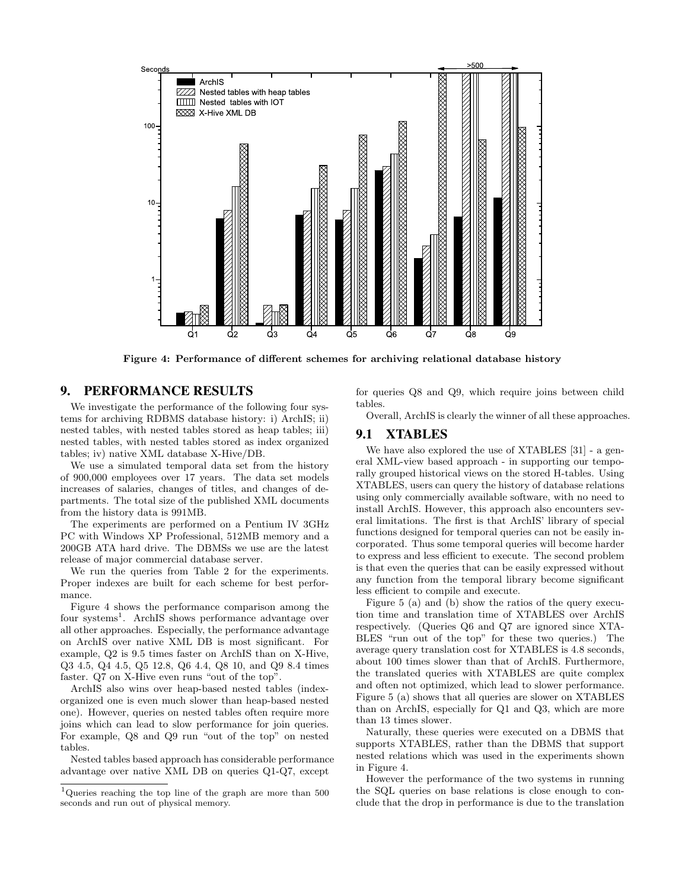

Figure 4: Performance of different schemes for archiving relational database history

# 9. PERFORMANCE RESULTS

We investigate the performance of the following four systems for archiving RDBMS database history: i) ArchIS; ii) nested tables, with nested tables stored as heap tables; iii) nested tables, with nested tables stored as index organized tables; iv) native XML database X-Hive/DB.

We use a simulated temporal data set from the history of 900,000 employees over 17 years. The data set models increases of salaries, changes of titles, and changes of departments. The total size of the published XML documents from the history data is 991MB.

The experiments are performed on a Pentium IV 3GHz PC with Windows XP Professional, 512MB memory and a 200GB ATA hard drive. The DBMSs we use are the latest release of major commercial database server.

We run the queries from Table 2 for the experiments. Proper indexes are built for each scheme for best performance.

Figure 4 shows the performance comparison among the four systems<sup>1</sup>. ArchIS shows performance advantage over all other approaches. Especially, the performance advantage on ArchIS over native XML DB is most significant. For example, Q2 is 9.5 times faster on ArchIS than on X-Hive, Q3 4.5, Q4 4.5, Q5 12.8, Q6 4.4, Q8 10, and Q9 8.4 times faster. Q7 on X-Hive even runs "out of the top".

ArchIS also wins over heap-based nested tables (indexorganized one is even much slower than heap-based nested one). However, queries on nested tables often require more joins which can lead to slow performance for join queries. For example, Q8 and Q9 run "out of the top" on nested tables.

Nested tables based approach has considerable performance advantage over native XML DB on queries Q1-Q7, except

for queries Q8 and Q9, which require joins between child tables.

Overall, ArchIS is clearly the winner of all these approaches.

# 9.1 XTABLES

We have also explored the use of XTABLES [31] - a general XML-view based approach - in supporting our temporally grouped historical views on the stored H-tables. Using XTABLES, users can query the history of database relations using only commercially available software, with no need to install ArchIS. However, this approach also encounters several limitations. The first is that ArchIS' library of special functions designed for temporal queries can not be easily incorporated. Thus some temporal queries will become harder to express and less efficient to execute. The second problem is that even the queries that can be easily expressed without any function from the temporal library become significant less efficient to compile and execute.

Figure 5 (a) and (b) show the ratios of the query execution time and translation time of XTABLES over ArchIS respectively. (Queries Q6 and Q7 are ignored since XTA-BLES "run out of the top" for these two queries.) The average query translation cost for XTABLES is 4.8 seconds, about 100 times slower than that of ArchIS. Furthermore, the translated queries with XTABLES are quite complex and often not optimized, which lead to slower performance. Figure 5 (a) shows that all queries are slower on XTABLES than on ArchIS, especially for Q1 and Q3, which are more than 13 times slower.

Naturally, these queries were executed on a DBMS that supports XTABLES, rather than the DBMS that support nested relations which was used in the experiments shown in Figure 4.

However the performance of the two systems in running the SQL queries on base relations is close enough to conclude that the drop in performance is due to the translation

<sup>&</sup>lt;sup>1</sup>Queries reaching the top line of the graph are more than 500 seconds and run out of physical memory.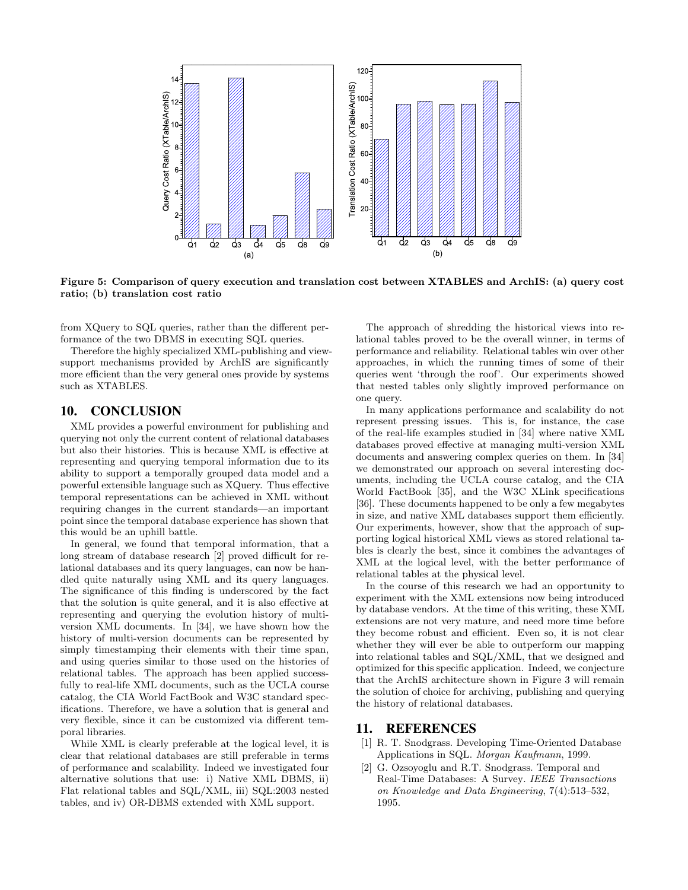

Figure 5: Comparison of query execution and translation cost between XTABLES and ArchIS: (a) query cost ratio; (b) translation cost ratio

from XQuery to SQL queries, rather than the different performance of the two DBMS in executing SQL queries.

Therefore the highly specialized XML-publishing and viewsupport mechanisms provided by ArchIS are significantly more efficient than the very general ones provide by systems such as XTABLES.

# 10. CONCLUSION

XML provides a powerful environment for publishing and querying not only the current content of relational databases but also their histories. This is because XML is effective at representing and querying temporal information due to its ability to support a temporally grouped data model and a powerful extensible language such as XQuery. Thus effective temporal representations can be achieved in XML without requiring changes in the current standards—an important point since the temporal database experience has shown that this would be an uphill battle.

In general, we found that temporal information, that a long stream of database research [2] proved difficult for relational databases and its query languages, can now be handled quite naturally using XML and its query languages. The significance of this finding is underscored by the fact that the solution is quite general, and it is also effective at representing and querying the evolution history of multiversion XML documents. In [34], we have shown how the history of multi-version documents can be represented by simply timestamping their elements with their time span, and using queries similar to those used on the histories of relational tables. The approach has been applied successfully to real-life XML documents, such as the UCLA course catalog, the CIA World FactBook and W3C standard specifications. Therefore, we have a solution that is general and very flexible, since it can be customized via different temporal libraries.

While XML is clearly preferable at the logical level, it is clear that relational databases are still preferable in terms of performance and scalability. Indeed we investigated four alternative solutions that use: i) Native XML DBMS, ii) Flat relational tables and SQL/XML, iii) SQL:2003 nested tables, and iv) OR-DBMS extended with XML support.

The approach of shredding the historical views into relational tables proved to be the overall winner, in terms of performance and reliability. Relational tables win over other approaches, in which the running times of some of their queries went 'through the roof'. Our experiments showed that nested tables only slightly improved performance on one query.

In many applications performance and scalability do not represent pressing issues. This is, for instance, the case of the real-life examples studied in [34] where native XML databases proved effective at managing multi-version XML documents and answering complex queries on them. In [34] we demonstrated our approach on several interesting documents, including the UCLA course catalog, and the CIA World FactBook [35], and the W3C XLink specifications [36]. These documents happened to be only a few megabytes in size, and native XML databases support them efficiently. Our experiments, however, show that the approach of supporting logical historical XML views as stored relational tables is clearly the best, since it combines the advantages of XML at the logical level, with the better performance of relational tables at the physical level.

In the course of this research we had an opportunity to experiment with the XML extensions now being introduced by database vendors. At the time of this writing, these XML extensions are not very mature, and need more time before they become robust and efficient. Even so, it is not clear whether they will ever be able to outperform our mapping into relational tables and SQL/XML, that we designed and optimized for this specific application. Indeed, we conjecture that the ArchIS architecture shown in Figure 3 will remain the solution of choice for archiving, publishing and querying the history of relational databases.

# 11. REFERENCES

- [1] R. T. Snodgrass. Developing Time-Oriented Database Applications in SQL. Morgan Kaufmann, 1999.
- [2] G. Ozsoyoglu and R.T. Snodgrass. Temporal and Real-Time Databases: A Survey. IEEE Transactions on Knowledge and Data Engineering, 7(4):513–532, 1995.